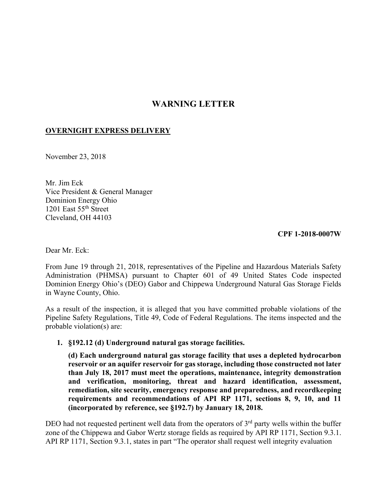# **WARNING LETTER**

# **OVERNIGHT EXPRESS DELIVERY**

November 23, 2018

Mr. Jim Eck Vice President & General Manager Dominion Energy Ohio 1201 East 55th Street Cleveland, OH 44103

**CPF 1-2018-0007W** 

Dear Mr. Eck:

From June 19 through 21, 2018, representatives of the Pipeline and Hazardous Materials Safety Administration (PHMSA) pursuant to Chapter 601 of 49 United States Code inspected Dominion Energy Ohio's (DEO) Gabor and Chippewa Underground Natural Gas Storage Fields in Wayne County, Ohio.

As a result of the inspection, it is alleged that you have committed probable violations of the Pipeline Safety Regulations, Title 49, Code of Federal Regulations. The items inspected and the probable violation(s) are:

### **1. §192.12 (d) Underground natural gas storage facilities.**

**(d) Each underground natural gas storage facility that uses a depleted hydrocarbon reservoir or an aquifer reservoir for gas storage, including those constructed not later than July 18, 2017 must meet the operations, maintenance, integrity demonstration and verification, monitoring, threat and hazard identification, assessment, remediation, site security, emergency response and preparedness, and recordkeeping requirements and recommendations of API RP 1171, sections 8, 9, 10, and 11 (incorporated by reference, see §192.7) by January 18, 2018.** 

DEO had not requested pertinent well data from the operators of  $3<sup>rd</sup>$  party wells within the buffer zone of the Chippewa and Gabor Wertz storage fields as required by API RP 1171, Section 9.3.1. API RP 1171, Section 9.3.1, states in part "The operator shall request well integrity evaluation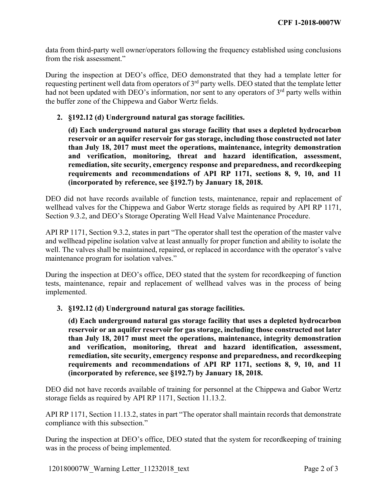data from third-party well owner/operators following the frequency established using conclusions from the risk assessment."

During the inspection at DEO's office, DEO demonstrated that they had a template letter for requesting pertinent well data from operators of 3rd party wells. DEO stated that the template letter had not been updated with DEO's information, nor sent to any operators of  $3<sup>rd</sup>$  party wells within the buffer zone of the Chippewa and Gabor Wertz fields.

## **2. §192.12 (d) Underground natural gas storage facilities.**

**(d) Each underground natural gas storage facility that uses a depleted hydrocarbon reservoir or an aquifer reservoir for gas storage, including those constructed not later than July 18, 2017 must meet the operations, maintenance, integrity demonstration and verification, monitoring, threat and hazard identification, assessment, remediation, site security, emergency response and preparedness, and recordkeeping requirements and recommendations of API RP 1171, sections 8, 9, 10, and 11 (incorporated by reference, see §192.7) by January 18, 2018.** 

DEO did not have records available of function tests, maintenance, repair and replacement of wellhead valves for the Chippewa and Gabor Wertz storage fields as required by API RP 1171, Section 9.3.2, and DEO's Storage Operating Well Head Valve Maintenance Procedure.

API RP 1171, Section 9.3.2, states in part "The operator shall test the operation of the master valve and wellhead pipeline isolation valve at least annually for proper function and ability to isolate the well. The valves shall be maintained, repaired, or replaced in accordance with the operator's valve maintenance program for isolation valves."

During the inspection at DEO's office, DEO stated that the system for recordkeeping of function tests, maintenance, repair and replacement of wellhead valves was in the process of being implemented.

### **3. §192.12 (d) Underground natural gas storage facilities.**

**(d) Each underground natural gas storage facility that uses a depleted hydrocarbon reservoir or an aquifer reservoir for gas storage, including those constructed not later than July 18, 2017 must meet the operations, maintenance, integrity demonstration and verification, monitoring, threat and hazard identification, assessment, remediation, site security, emergency response and preparedness, and recordkeeping requirements and recommendations of API RP 1171, sections 8, 9, 10, and 11 (incorporated by reference, see §192.7) by January 18, 2018.**

DEO did not have records available of training for personnel at the Chippewa and Gabor Wertz storage fields as required by API RP 1171, Section 11.13.2.

 API RP 1171, Section 11.13.2, states in part "The operator shall maintain records that demonstrate compliance with this subsection."

During the inspection at DEO's office, DEO stated that the system for recordkeeping of training was in the process of being implemented.